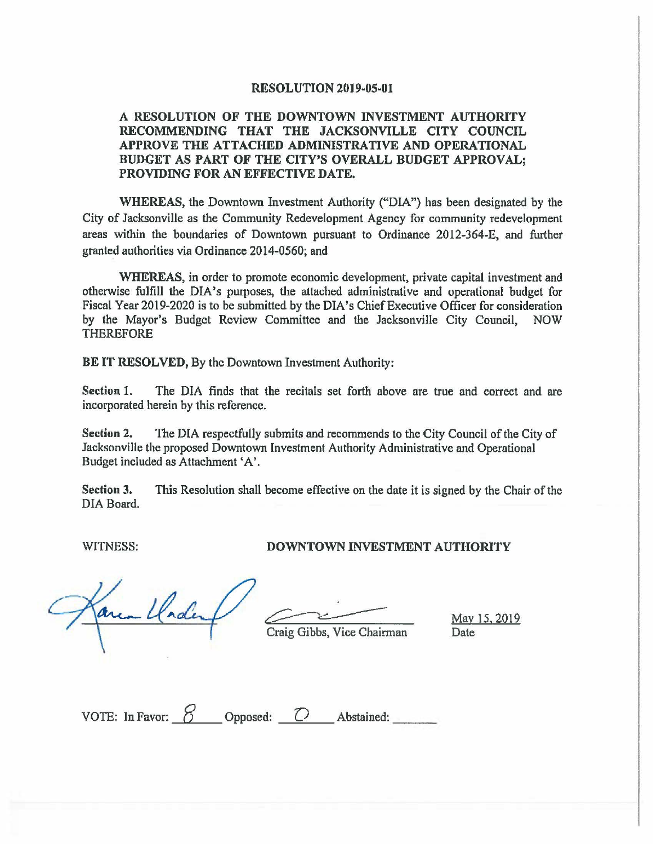## **RESOLUTION 2019-05-01**

## **A RESOLUTION OF THE DOWNTOWN INVESTMENT AUTHORITY RECOMMENDING THAT THE JACKSONVILLE CITY COUNCIL APPROVE THE ATTACHED ADMINISTRATIVE AND OPERATIONAL BUDGET AS PART OF THE CITY'S OVERALL BUDGET APPROVAL; PROVIDING FOR AN EFFECTIVE DATE.**

**WHEREAS,** the Downtown Investment Authority ("DIA") has been designated by the City of Jacksonville as the Community Redevelopment Agency for community redevelopment areas within the boundaries of Downtown pursuant to Ordinance 2012-364-E, and further granted authorities via Ordinance 2014-0560; and

**WHEREAS,** in order to promote economic development, private capital investment and otherwise fulfill the DIA's purposes, the attached administrative and operational budget for Fiscal Year 2019-2020 is to be submitted by the DIA's Chief Executive Officer for consideration by the Mayor's Budget Review Committee and the Jacksonville City Council, NOW THEREFORE

**BE IT RESOLVED,** By the Downtown Investment Authority:

**Section** 1. The DIA finds that the recitals set forth above are true and correct and are incorporated herein by this reference.

**Section 2.** The DIA respectfully submits and recommends to the City Council of the City of Jacksonville the proposed Downtown Investment Authority Administrative and Operational Budget included as Attachment •A'.

**Section 3.** This Resolution shall become effective on the date it is signed by the Chair of the DIA Board.

## WITNESS: **DOWNTOWN INVESTMENT AUTHORITY**

Craig Gibbs, Vice Chairman Date Date nde

| VOTE: In Favor: $\delta$ | Opposed: | Abstained: |
|--------------------------|----------|------------|
|                          |          |            |